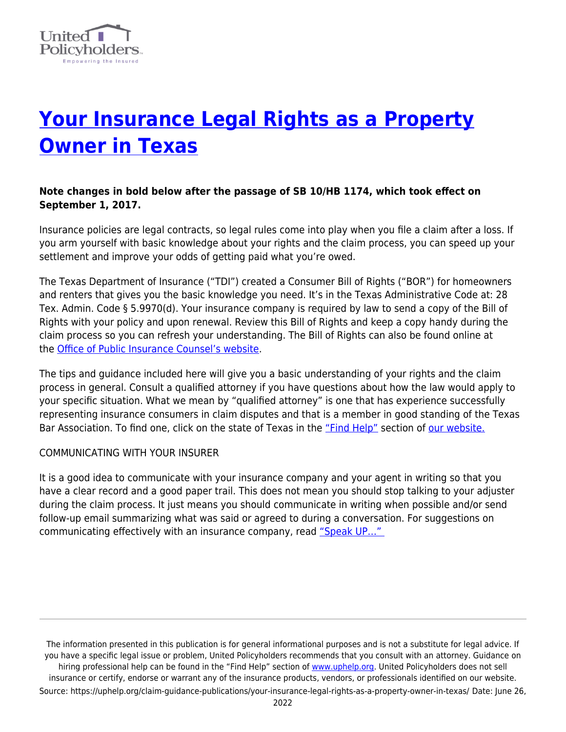

# **[Your Insurance Legal Rights as a Property](https://uphelp.org/claim-guidance-publications/your-insurance-legal-rights-as-a-property-owner-in-texas/) [Owner in Texas](https://uphelp.org/claim-guidance-publications/your-insurance-legal-rights-as-a-property-owner-in-texas/)**

# **Note changes in bold below after the passage of SB 10/HB 1174, which took effect on September 1, 2017.**

Insurance policies are legal contracts, so legal rules come into play when you file a claim after a loss. If you arm yourself with basic knowledge about your rights and the claim process, you can speed up your settlement and improve your odds of getting paid what you're owed.

The Texas Department of Insurance ("TDI") created a Consumer Bill of Rights ("BOR") for homeowners and renters that gives you the basic knowledge you need. It's in the Texas Administrative Code at: 28 Tex. Admin. Code § 5.9970(d). Your insurance company is required by law to send a copy of the Bill of Rights with your policy and upon renewal. Review this Bill of Rights and keep a copy handy during the claim process so you can refresh your understanding. The Bill of Rights can also be found online at the [Office of Public Insurance Counsel's website](http://www.opic.texas.gov/residential-property/bill-of-rights).

The tips and guidance included here will give you a basic understanding of your rights and the claim process in general. Consult a qualified attorney if you have questions about how the law would apply to your specific situation. What we mean by "qualified attorney" is one that has experience successfully representing insurance consumers in claim disputes and that is a member in good standing of the Texas Bar Association. To find one, click on the state of Texas in the ["Find Help"](https://uphelp.org/sponsors/) section of [our website.](https://uphelp.org/)

## COMMUNICATING WITH YOUR INSURER

It is a good idea to communicate with your insurance company and your agent in writing so that you have a clear record and a good paper trail. This does not mean you should stop talking to your adjuster during the claim process. It just means you should communicate in writing when possible and/or send follow-up email summarizing what was said or agreed to during a conversation. For suggestions on communicating effectively with an insurance company, read "Speak UP..."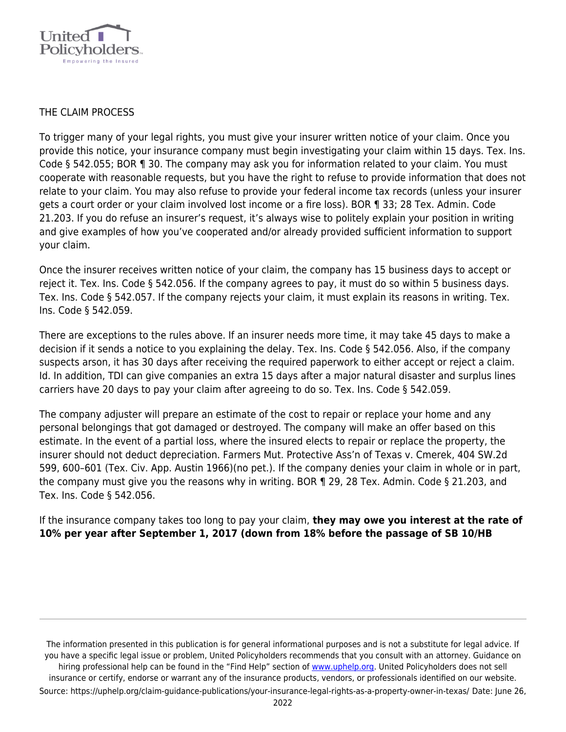

#### THE CLAIM PROCESS

To trigger many of your legal rights, you must give your insurer written notice of your claim. Once you provide this notice, your insurance company must begin investigating your claim within 15 days. Tex. Ins. Code § 542.055; BOR ¶ 30. The company may ask you for information related to your claim. You must cooperate with reasonable requests, but you have the right to refuse to provide information that does not relate to your claim. You may also refuse to provide your federal income tax records (unless your insurer gets a court order or your claim involved lost income or a fire loss). BOR ¶ 33; 28 Tex. Admin. Code 21.203. If you do refuse an insurer's request, it's always wise to politely explain your position in writing and give examples of how you've cooperated and/or already provided sufficient information to support your claim.

Once the insurer receives written notice of your claim, the company has 15 business days to accept or reject it. Tex. Ins. Code § 542.056. If the company agrees to pay, it must do so within 5 business days. Tex. Ins. Code § 542.057. If the company rejects your claim, it must explain its reasons in writing. Tex. Ins. Code § 542.059.

There are exceptions to the rules above. If an insurer needs more time, it may take 45 days to make a decision if it sends a notice to you explaining the delay. Tex. Ins. Code § 542.056. Also, if the company suspects arson, it has 30 days after receiving the required paperwork to either accept or reject a claim. Id. In addition, TDI can give companies an extra 15 days after a major natural disaster and surplus lines carriers have 20 days to pay your claim after agreeing to do so. Tex. Ins. Code § 542.059.

The company adjuster will prepare an estimate of the cost to repair or replace your home and any personal belongings that got damaged or destroyed. The company will make an offer based on this estimate. In the event of a partial loss, where the insured elects to repair or replace the property, the insurer should not deduct depreciation. Farmers Mut. Protective Ass'n of Texas v. Cmerek, 404 SW.2d 599, 600–601 (Tex. Civ. App. Austin 1966)(no pet.). If the company denies your claim in whole or in part, the company must give you the reasons why in writing. BOR ¶ 29, 28 Tex. Admin. Code § 21.203, and Tex. Ins. Code § 542.056.

If the insurance company takes too long to pay your claim, **they may owe you interest at the rate of 10% per year after September 1, 2017 (down from 18% before the passage of SB 10/HB**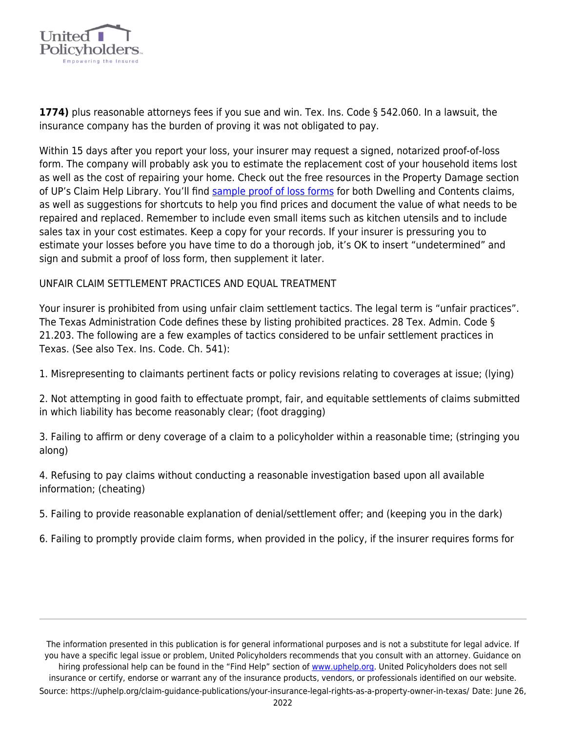

**1774)** plus reasonable attorneys fees if you sue and win. Tex. Ins. Code § 542.060. In a lawsuit, the insurance company has the burden of proving it was not obligated to pay.

Within 15 days after you report your loss, your insurer may request a signed, notarized proof-of-loss form. The company will probably ask you to estimate the replacement cost of your household items lost as well as the cost of repairing your home. Check out the free resources in the Property Damage section of UP's Claim Help Library. You'll find [sample proof of loss forms](https://uphelp.org/claim-guidance-publications/sample-letters-and-documents/) for both Dwelling and Contents claims, as well as suggestions for shortcuts to help you find prices and document the value of what needs to be repaired and replaced. Remember to include even small items such as kitchen utensils and to include sales tax in your cost estimates. Keep a copy for your records. If your insurer is pressuring you to estimate your losses before you have time to do a thorough job, it's OK to insert "undetermined" and sign and submit a proof of loss form, then supplement it later.

#### UNFAIR CLAIM SETTLEMENT PRACTICES AND EQUAL TREATMENT

Your insurer is prohibited from using unfair claim settlement tactics. The legal term is "unfair practices". The Texas Administration Code defines these by listing prohibited practices. 28 Tex. Admin. Code § 21.203. The following are a few examples of tactics considered to be unfair settlement practices in Texas. (See also Tex. Ins. Code. Ch. 541):

1. Misrepresenting to claimants pertinent facts or policy revisions relating to coverages at issue; (lying)

2. Not attempting in good faith to effectuate prompt, fair, and equitable settlements of claims submitted in which liability has become reasonably clear; (foot dragging)

3. Failing to affirm or deny coverage of a claim to a policyholder within a reasonable time; (stringing you along)

4. Refusing to pay claims without conducting a reasonable investigation based upon all available information; (cheating)

5. Failing to provide reasonable explanation of denial/settlement offer; and (keeping you in the dark)

6. Failing to promptly provide claim forms, when provided in the policy, if the insurer requires forms for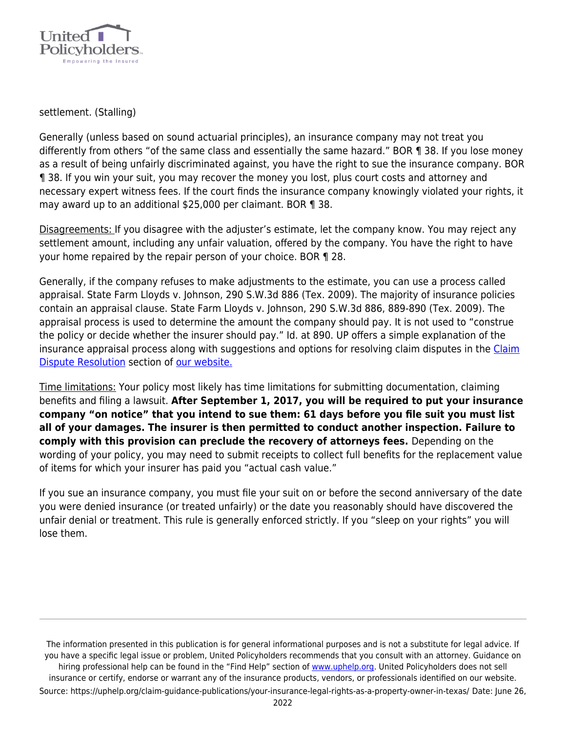

settlement. (Stalling)

Generally (unless based on sound actuarial principles), an insurance company may not treat you differently from others "of the same class and essentially the same hazard." BOR ¶ 38. If you lose money as a result of being unfairly discriminated against, you have the right to sue the insurance company. BOR ¶ 38. If you win your suit, you may recover the money you lost, plus court costs and attorney and necessary expert witness fees. If the court finds the insurance company knowingly violated your rights, it may award up to an additional \$25,000 per claimant. BOR ¶ 38.

Disagreements: If you disagree with the adjuster's estimate, let the company know. You may reject any settlement amount, including any unfair valuation, offered by the company. You have the right to have your home repaired by the repair person of your choice. BOR ¶ 28.

Generally, if the company refuses to make adjustments to the estimate, you can use a process called appraisal. State Farm Lloyds v. Johnson, 290 S.W.3d 886 (Tex. 2009). The majority of insurance policies contain an appraisal clause. State Farm Lloyds v. Johnson, 290 S.W.3d 886, 889-890 (Tex. 2009). The appraisal process is used to determine the amount the company should pay. It is not used to "construe the policy or decide whether the insurer should pay." Id. at 890. UP offers a simple explanation of the insurance appraisal process along with suggestions and options for resolving claim disputes in the [Claim](https://uphelp.org/claim-guidance-publications/claim-coverage-dispute-resolution-help/) [Dispute Resolution](https://uphelp.org/claim-guidance-publications/claim-coverage-dispute-resolution-help/) section of [our website.](https://uphelp.org/)

Time limitations: Your policy most likely has time limitations for submitting documentation, claiming benefits and filing a lawsuit. **After September 1, 2017, you will be required to put your insurance company "on notice" that you intend to sue them: 61 days before you file suit you must list all of your damages. The insurer is then permitted to conduct another inspection. Failure to comply with this provision can preclude the recovery of attorneys fees.** Depending on the wording of your policy, you may need to submit receipts to collect full benefits for the replacement value of items for which your insurer has paid you "actual cash value."

If you sue an insurance company, you must file your suit on or before the second anniversary of the date you were denied insurance (or treated unfairly) or the date you reasonably should have discovered the unfair denial or treatment. This rule is generally enforced strictly. If you "sleep on your rights" you will lose them.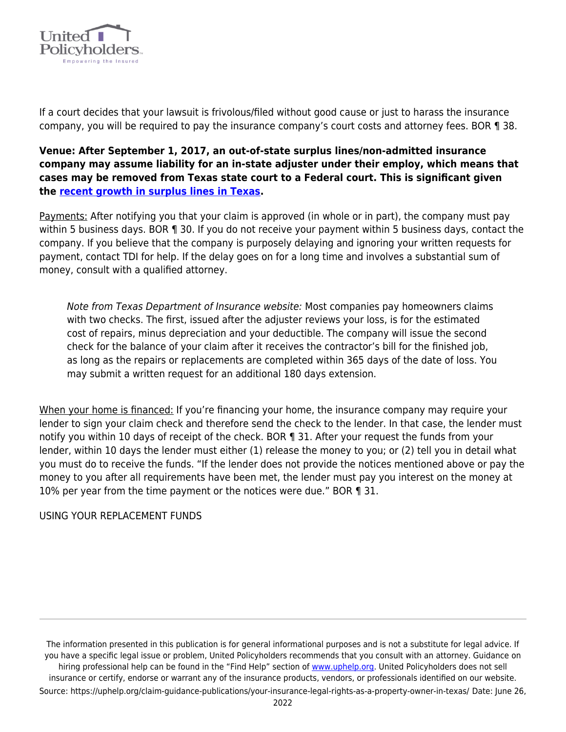

If a court decides that your lawsuit is frivolous/filed without good cause or just to harass the insurance company, you will be required to pay the insurance company's court costs and attorney fees. BOR ¶ 38.

**Venue: After September 1, 2017, an out-of-state surplus lines/non-admitted insurance company may assume liability for an in-state adjuster under their employ, which means that cases may be removed from Texas state court to a Federal court. This is significant given the [recent growth in surplus lines in Texas.](https://uphelp.org/texas-stamping-office-upward-trend-continues-for-surplus-lines/)** 

Payments: After notifying you that your claim is approved (in whole or in part), the company must pay within 5 business days. BOR ¶ 30. If you do not receive your payment within 5 business days, contact the company. If you believe that the company is purposely delaying and ignoring your written requests for payment, contact TDI for help. If the delay goes on for a long time and involves a substantial sum of money, consult with a qualified attorney.

Note from Texas Department of Insurance website: Most companies pay homeowners claims with two checks. The first, issued after the adjuster reviews your loss, is for the estimated cost of repairs, minus depreciation and your deductible. The company will issue the second check for the balance of your claim after it receives the contractor's bill for the finished job, as long as the repairs or replacements are completed within 365 days of the date of loss. You may submit a written request for an additional 180 days extension.

When your home is financed: If you're financing your home, the insurance company may require your lender to sign your claim check and therefore send the check to the lender. In that case, the lender must notify you within 10 days of receipt of the check. BOR 1 31. After your request the funds from your lender, within 10 days the lender must either (1) release the money to you; or (2) tell you in detail what you must do to receive the funds. "If the lender does not provide the notices mentioned above or pay the money to you after all requirements have been met, the lender must pay you interest on the money at 10% per year from the time payment or the notices were due." BOR ¶ 31.

## USING YOUR REPLACEMENT FUNDS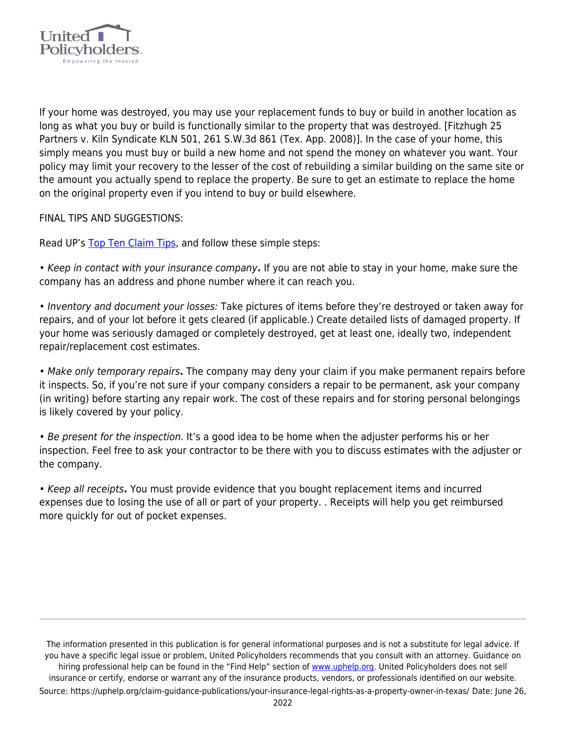

If your home was destroyed, you may use your replacement funds to buy or build in another location as long as what you buy or build is functionally similar to the property that was destroyed. [Fitzhugh 25 Partners v. Kiln Syndicate KLN 501, 261 S.W.3d 861 (Tex. App. 2008)]. In the case of your home, this simply means you must buy or build a new home and not spend the money on whatever you want. Your policy may limit your recovery to the lesser of the cost of rebuilding a similar building on the same site or the amount you actually spend to replace the property. Be sure to get an estimate to replace the home on the original property even if you intend to buy or build elsewhere.

FINAL TIPS AND SUGGESTIONS:

Read UP's [Top Ten Claim Tips](https://uphelp.org/claim-guidance-publications/top-10-insurance-claim-tips/), and follow these simple steps:

• Keep in contact with your insurance company**.** If you are not able to stay in your home, make sure the company has an address and phone number where it can reach you.

• Inventory and document your losses: Take pictures of items before they're destroyed or taken away for repairs, and of your lot before it gets cleared (if applicable.) Create detailed lists of damaged property. If your home was seriously damaged or completely destroyed, get at least one, ideally two, independent repair/replacement cost estimates.

• Make only temporary repairs**.** The company may deny your claim if you make permanent repairs before it inspects. So, if you're not sure if your company considers a repair to be permanent, ask your company (in writing) before starting any repair work. The cost of these repairs and for storing personal belongings is likely covered by your policy.

• Be present for the inspection. It's a good idea to be home when the adjuster performs his or her inspection. Feel free to ask your contractor to be there with you to discuss estimates with the adjuster or the company.

• Keep all receipts**.** You must provide evidence that you bought replacement items and incurred expenses due to losing the use of all or part of your property. . Receipts will help you get reimbursed more quickly for out of pocket expenses.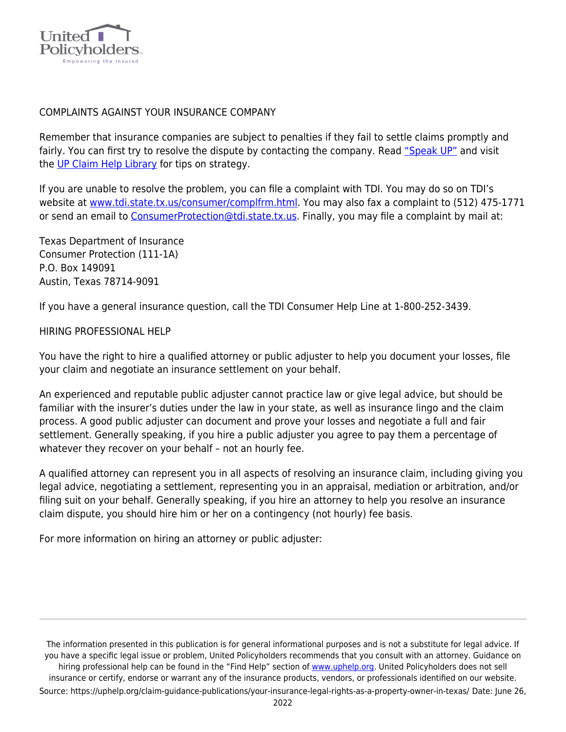

#### COMPLAINTS AGAINST YOUR INSURANCE COMPANY

Remember that insurance companies are subject to penalties if they fail to settle claims promptly and fairly. You can first try to resolve the dispute by contacting the company. Read ["Speak UP"](https://uphelp.org/claim-guidance-publications/speak-up-how-to-communicate-with-your-insurance-company/) and visit the [UP Claim Help Library](https://uphelp.org/claim-guidance-publications/) for tips on strategy.

If you are unable to resolve the problem, you can file a complaint with TDI. You may do so on TDI's website at [www.tdi.state.tx.us/consumer/complfrm.html.](http://www.tdi.state.tx.us/consumer/complfrm.html) You may also fax a complaint to (512) 475-1771 or send an email to [ConsumerProtection@tdi.state.tx.us](mailto:ConsumerProtection@tdi.state.tx.us). Finally, you may file a complaint by mail at:

Texas Department of Insurance Consumer Protection (111-1A) P.O. Box 149091 Austin, Texas 78714-9091

If you have a general insurance question, call the TDI Consumer Help Line at 1-800-252-3439.

#### HIRING PROFESSIONAL HELP

You have the right to hire a qualified attorney or public adjuster to help you document your losses, file your claim and negotiate an insurance settlement on your behalf.

An experienced and reputable public adjuster cannot practice law or give legal advice, but should be familiar with the insurer's duties under the law in your state, as well as insurance lingo and the claim process. A good public adjuster can document and prove your losses and negotiate a full and fair settlement. Generally speaking, if you hire a public adjuster you agree to pay them a percentage of whatever they recover on your behalf – not an hourly fee.

A qualified attorney can represent you in all aspects of resolving an insurance claim, including giving you legal advice, negotiating a settlement, representing you in an appraisal, mediation or arbitration, and/or filing suit on your behalf. Generally speaking, if you hire an attorney to help you resolve an insurance claim dispute, you should hire him or her on a contingency (not hourly) fee basis.

For more information on hiring an attorney or public adjuster: